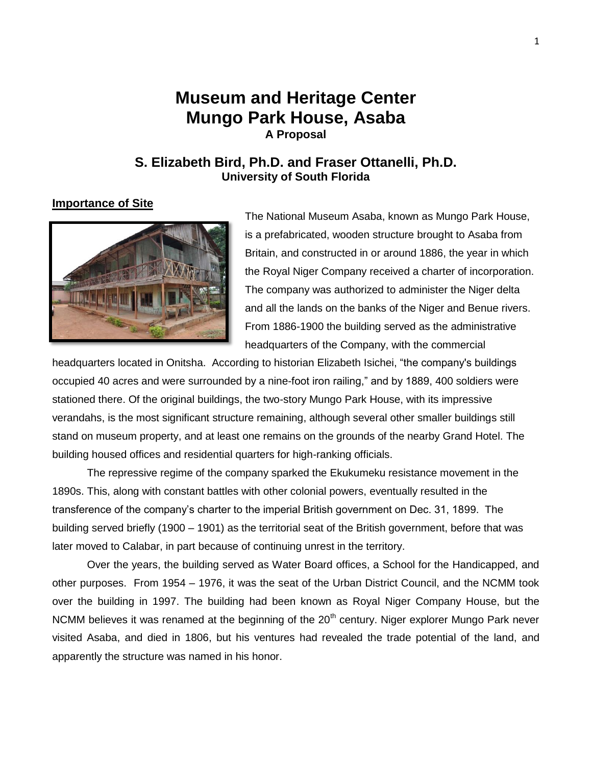# **Museum and Heritage Center Mungo Park House, Asaba A Proposal**

## **S. Elizabeth Bird, Ph.D. and Fraser Ottanelli, Ph.D. University of South Florida**

### **Importance of Site**



The National Museum Asaba, known as Mungo Park House, is a prefabricated, wooden structure brought to Asaba from Britain, and constructed in or around 1886, the year in which the Royal Niger Company received a charter of incorporation. The company was authorized to administer the Niger delta and all the lands on the banks of the Niger and Benue rivers. From 1886-1900 the building served as the administrative headquarters of the Company, with the commercial

headquarters located in Onitsha. According to historian Elizabeth Isichei, "the company's buildings occupied 40 acres and were surrounded by a nine-foot iron railing," and by 1889, 400 soldiers were stationed there. Of the original buildings, the two-story Mungo Park House, with its impressive verandahs, is the most significant structure remaining, although several other smaller buildings still stand on museum property, and at least one remains on the grounds of the nearby Grand Hotel. The building housed offices and residential quarters for high-ranking officials.

The repressive regime of the company sparked the Ekukumeku resistance movement in the 1890s. This, along with constant battles with other colonial powers, eventually resulted in the transference of the company's charter to the imperial British government on Dec. 31, 1899. The building served briefly (1900 – 1901) as the territorial seat of the British government, before that was later moved to Calabar, in part because of continuing unrest in the territory.

Over the years, the building served as Water Board offices, a School for the Handicapped, and other purposes. From 1954 – 1976, it was the seat of the Urban District Council, and the NCMM took over the building in 1997. The building had been known as Royal Niger Company House, but the NCMM believes it was renamed at the beginning of the  $20<sup>th</sup>$  century. Niger explorer Mungo Park never visited Asaba, and died in 1806, but his ventures had revealed the trade potential of the land, and apparently the structure was named in his honor.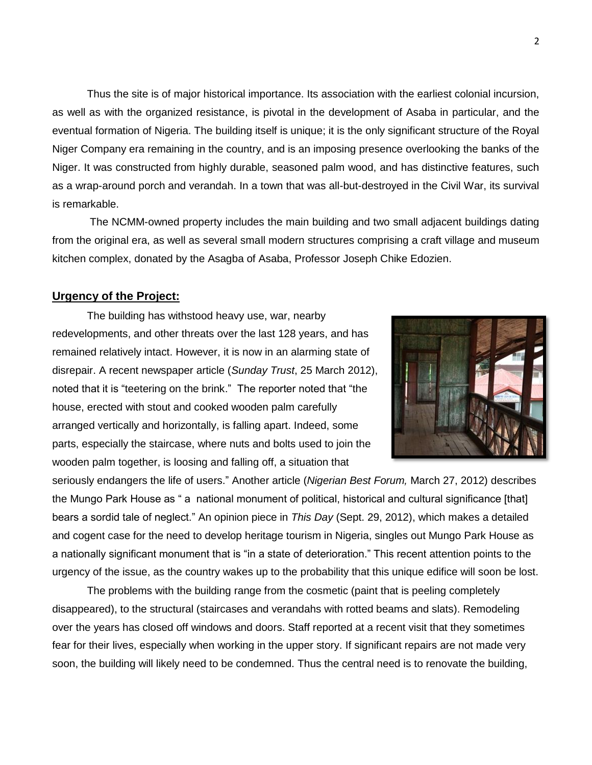Thus the site is of major historical importance. Its association with the earliest colonial incursion, as well as with the organized resistance, is pivotal in the development of Asaba in particular, and the eventual formation of Nigeria. The building itself is unique; it is the only significant structure of the Royal Niger Company era remaining in the country, and is an imposing presence overlooking the banks of the Niger. It was constructed from highly durable, seasoned palm wood, and has distinctive features, such as a wrap-around porch and verandah. In a town that was all-but-destroyed in the Civil War, its survival is remarkable.

The NCMM-owned property includes the main building and two small adjacent buildings dating from the original era, as well as several small modern structures comprising a craft village and museum kitchen complex, donated by the Asagba of Asaba, Professor Joseph Chike Edozien.

#### **Urgency of the Project:**

The building has withstood heavy use, war, nearby redevelopments, and other threats over the last 128 years, and has remained relatively intact. However, it is now in an alarming state of disrepair. A recent newspaper article (*Sunday Trust*, 25 March 2012), noted that it is "teetering on the brink." The reporter noted that "the house, erected with stout and cooked wooden palm carefully arranged vertically and horizontally, is falling apart. Indeed, some parts, especially the staircase, where nuts and bolts used to join the wooden palm together, is loosing and falling off, a situation that



seriously endangers the life of users." Another article (*Nigerian Best Forum,* March 27, 2012) describes the Mungo Park House as " a national monument of political, historical and cultural significance [that] bears a sordid tale of neglect." An opinion piece in *This Day* (Sept. 29, 2012), which makes a detailed and cogent case for the need to develop heritage tourism in Nigeria, singles out Mungo Park House as a nationally significant monument that is "in a state of deterioration." This recent attention points to the urgency of the issue, as the country wakes up to the probability that this unique edifice will soon be lost.

The problems with the building range from the cosmetic (paint that is peeling completely disappeared), to the structural (staircases and verandahs with rotted beams and slats). Remodeling over the years has closed off windows and doors. Staff reported at a recent visit that they sometimes fear for their lives, especially when working in the upper story. If significant repairs are not made very soon, the building will likely need to be condemned. Thus the central need is to renovate the building,